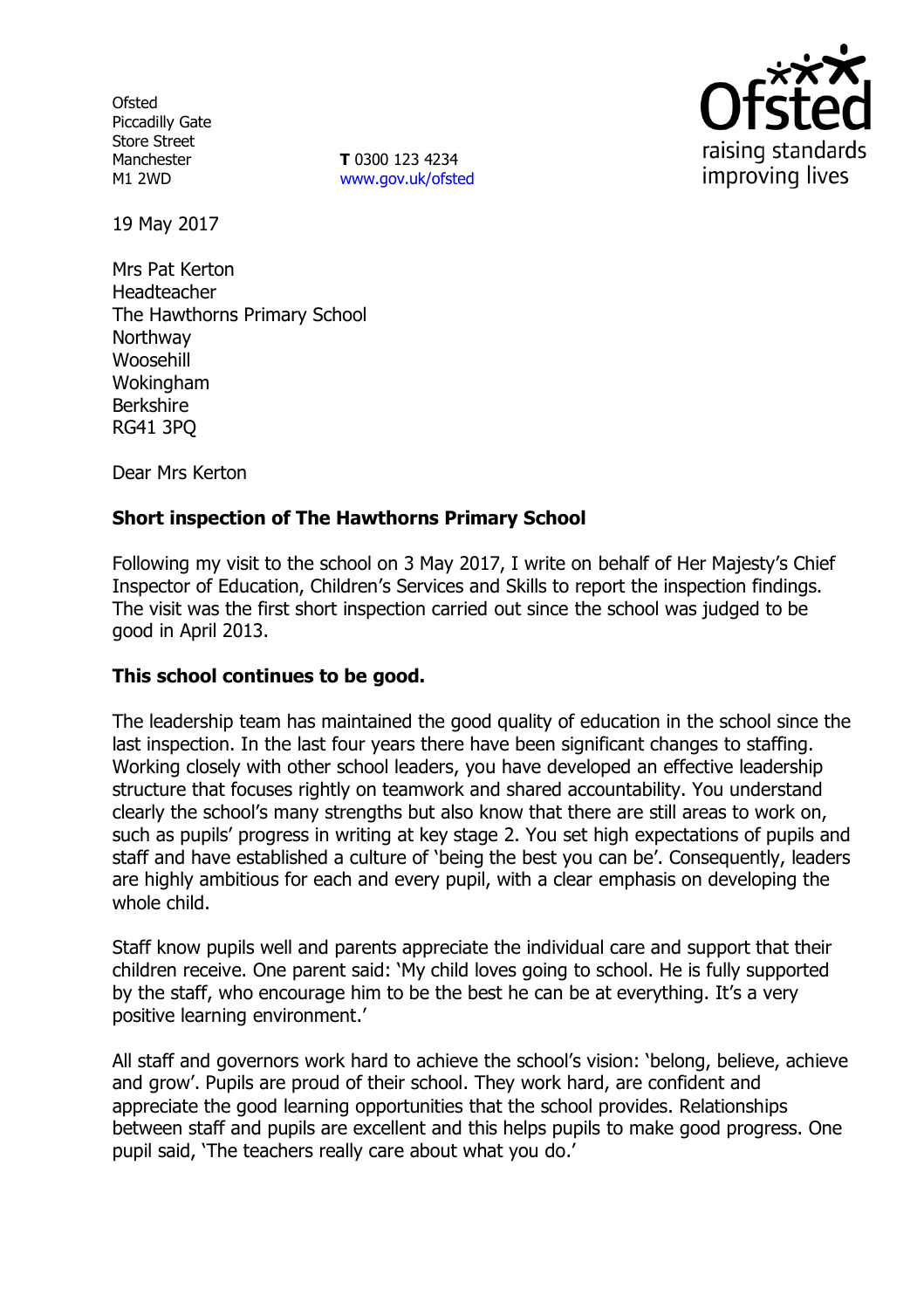**Ofsted** Piccadilly Gate Store Street Manchester M1 2WD

**T** 0300 123 4234 [www.gov.uk/ofsted](http://www.gov.uk/ofsted)



19 May 2017

Mrs Pat Kerton Headteacher The Hawthorns Primary School **Northway** Woosehill Wokingham Berkshire RG41 3PQ

Dear Mrs Kerton

## **Short inspection of The Hawthorns Primary School**

Following my visit to the school on 3 May 2017, I write on behalf of Her Majesty's Chief Inspector of Education, Children's Services and Skills to report the inspection findings. The visit was the first short inspection carried out since the school was judged to be good in April 2013.

### **This school continues to be good.**

The leadership team has maintained the good quality of education in the school since the last inspection. In the last four years there have been significant changes to staffing. Working closely with other school leaders, you have developed an effective leadership structure that focuses rightly on teamwork and shared accountability. You understand clearly the school's many strengths but also know that there are still areas to work on, such as pupils' progress in writing at key stage 2. You set high expectations of pupils and staff and have established a culture of 'being the best you can be'. Consequently, leaders are highly ambitious for each and every pupil, with a clear emphasis on developing the whole child.

Staff know pupils well and parents appreciate the individual care and support that their children receive. One parent said: 'My child loves going to school. He is fully supported by the staff, who encourage him to be the best he can be at everything. It's a very positive learning environment.'

All staff and governors work hard to achieve the school's vision: 'belong, believe, achieve and grow'. Pupils are proud of their school. They work hard, are confident and appreciate the good learning opportunities that the school provides. Relationships between staff and pupils are excellent and this helps pupils to make good progress. One pupil said, 'The teachers really care about what you do.'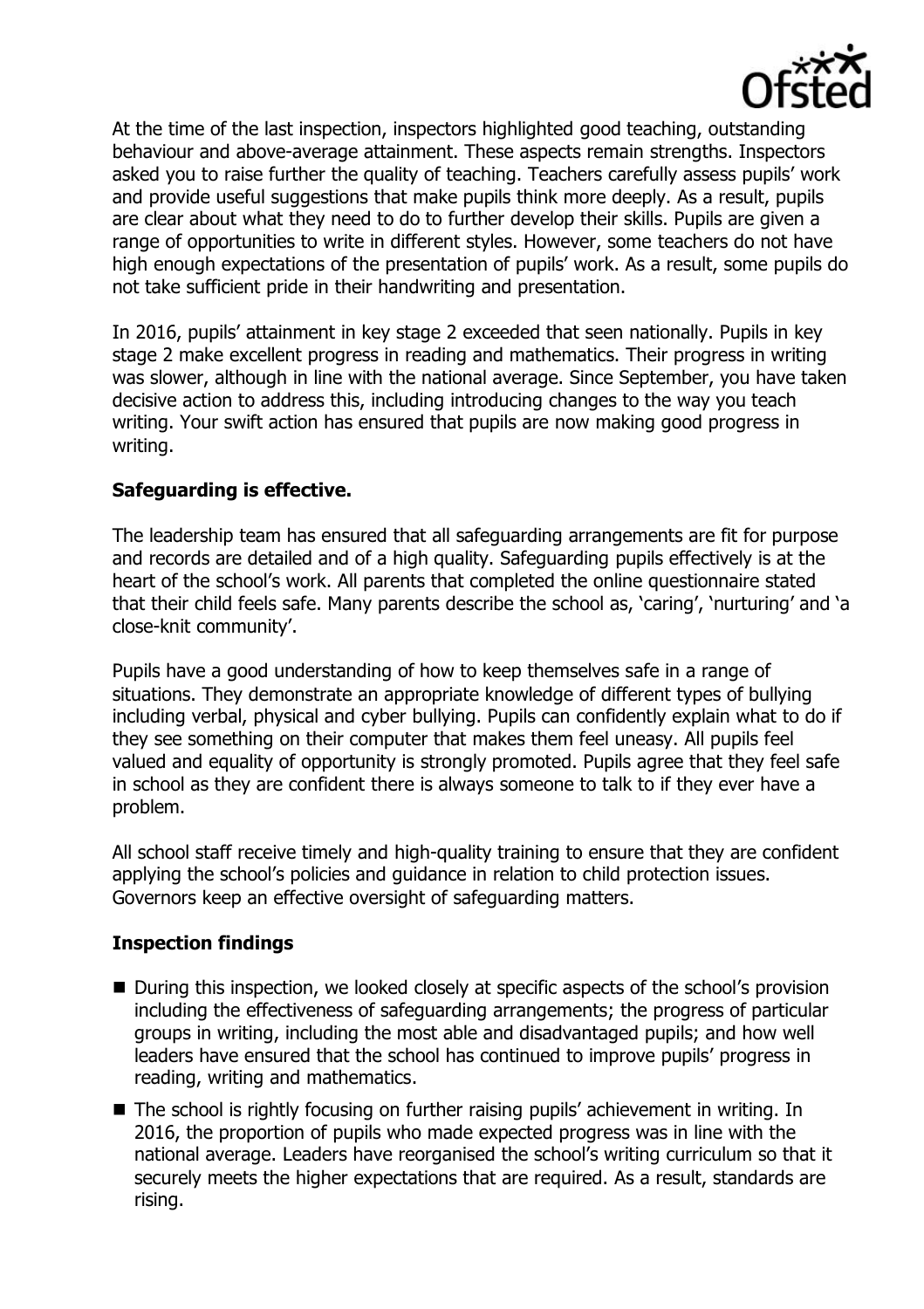

At the time of the last inspection, inspectors highlighted good teaching, outstanding behaviour and above-average attainment. These aspects remain strengths. Inspectors asked you to raise further the quality of teaching. Teachers carefully assess pupils' work and provide useful suggestions that make pupils think more deeply. As a result, pupils are clear about what they need to do to further develop their skills. Pupils are given a range of opportunities to write in different styles. However, some teachers do not have high enough expectations of the presentation of pupils' work. As a result, some pupils do not take sufficient pride in their handwriting and presentation.

In 2016, pupils' attainment in key stage 2 exceeded that seen nationally. Pupils in key stage 2 make excellent progress in reading and mathematics. Their progress in writing was slower, although in line with the national average. Since September, you have taken decisive action to address this, including introducing changes to the way you teach writing. Your swift action has ensured that pupils are now making good progress in writing.

# **Safeguarding is effective.**

The leadership team has ensured that all safeguarding arrangements are fit for purpose and records are detailed and of a high quality. Safeguarding pupils effectively is at the heart of the school's work. All parents that completed the online questionnaire stated that their child feels safe. Many parents describe the school as, 'caring', 'nurturing' and 'a close-knit community'.

Pupils have a good understanding of how to keep themselves safe in a range of situations. They demonstrate an appropriate knowledge of different types of bullying including verbal, physical and cyber bullying. Pupils can confidently explain what to do if they see something on their computer that makes them feel uneasy. All pupils feel valued and equality of opportunity is strongly promoted. Pupils agree that they feel safe in school as they are confident there is always someone to talk to if they ever have a problem.

All school staff receive timely and high-quality training to ensure that they are confident applying the school's policies and guidance in relation to child protection issues. Governors keep an effective oversight of safeguarding matters.

### **Inspection findings**

- During this inspection, we looked closely at specific aspects of the school's provision including the effectiveness of safeguarding arrangements; the progress of particular groups in writing, including the most able and disadvantaged pupils; and how well leaders have ensured that the school has continued to improve pupils' progress in reading, writing and mathematics.
- The school is rightly focusing on further raising pupils' achievement in writing. In 2016, the proportion of pupils who made expected progress was in line with the national average. Leaders have reorganised the school's writing curriculum so that it securely meets the higher expectations that are required. As a result, standards are rising.